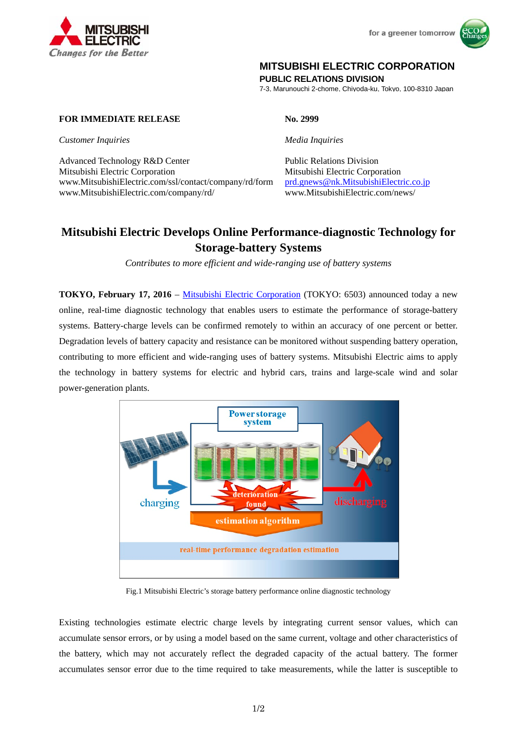



## **MITSUBISHI ELECTRIC CORPORATION**

**PUBLIC RELATIONS DIVISION** 

7-3, Marunouchi 2-chome, Chiyoda-ku, Tokyo, 100-8310 Japan

### **FOR IMMEDIATE RELEASE No. 2999**

*Customer Inquiries Media Inquiries*

Advanced Technology R&D Center Public Relations Division Mitsubishi Electric Corporation Mitsubishi Electric Corporation www.MitsubishiElectric.com/ssl/contact/company/rd/form prd.gnews@nk.MitsubishiElectric.co.jp www.MitsubishiElectric.com/company/rd/ www.MitsubishiElectric.com/news/

# **Mitsubishi Electric Develops Online Performance-diagnostic Technology for Storage-battery Systems**

*Contributes to more efficient and wide-ranging use of battery systems* 

**TOKYO, February 17, 2016** – Mitsubishi Electric Corporation (TOKYO: 6503) announced today a new online, real-time diagnostic technology that enables users to estimate the performance of storage-battery systems. Battery-charge levels can be confirmed remotely to within an accuracy of one percent or better. Degradation levels of battery capacity and resistance can be monitored without suspending battery operation, contributing to more efficient and wide-ranging uses of battery systems. Mitsubishi Electric aims to apply the technology in battery systems for electric and hybrid cars, trains and large-scale wind and solar power-generation plants.



Fig.1 Mitsubishi Electric's storage battery performance online diagnostic technology

Existing technologies estimate electric charge levels by integrating current sensor values, which can accumulate sensor errors, or by using a model based on the same current, voltage and other characteristics of the battery, which may not accurately reflect the degraded capacity of the actual battery. The former accumulates sensor error due to the time required to take measurements, while the latter is susceptible to